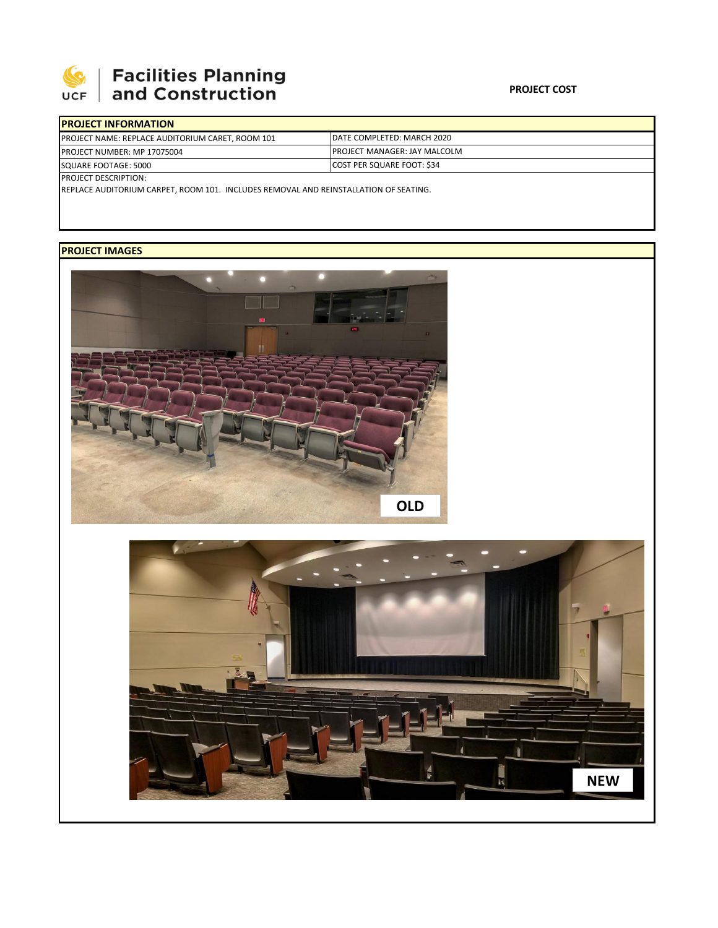

## | Facilities Planning<br>| and Construction

| <b>PROJECT INFORMATION</b>                              |                                      |  |  |  |
|---------------------------------------------------------|--------------------------------------|--|--|--|
| <b>PROJECT NAME: REPLACE AUDITORIUM CARET, ROOM 101</b> | DATE COMPLETED: MARCH 2020           |  |  |  |
| <b>PROJECT NUMBER: MP 17075004</b>                      | <b>IPROJECT MANAGER: JAY MALCOLM</b> |  |  |  |
| SQUARE FOOTAGE: 5000                                    | <b>COST PER SQUARE FOOT: \$34</b>    |  |  |  |
| <b>PROJECT DESCRIPTION:</b>                             |                                      |  |  |  |

REPLACE AUDITORIUM CARPET, ROOM 101. INCLUDES REMOVAL AND REINSTALLATION OF SEATING.

## **PROJECT IMAGES**